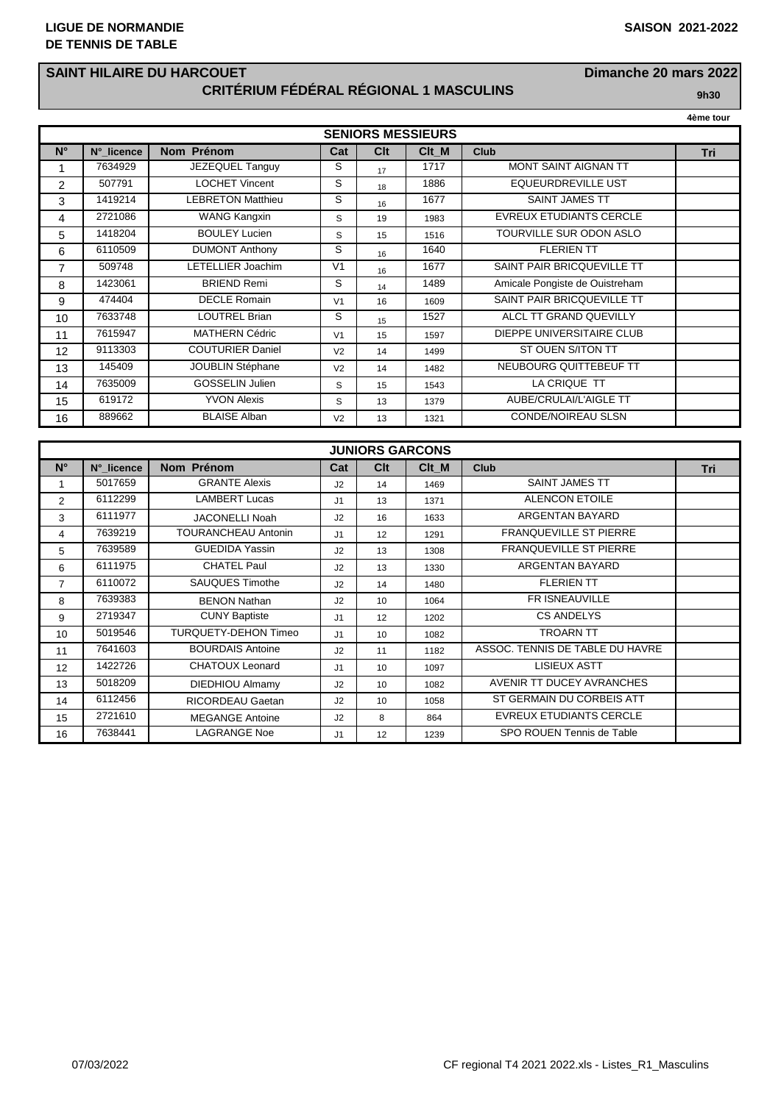## **SAINT HILAIRE DU HARCOUET Dimanche 20 mars 2022 CRITÉRIUM FÉDÉRAL RÉGIONAL 1 MASCULINS 9h30**

**4ème tour**

|                          |            |                          |                |                 |       |                                | 4eme tour |  |
|--------------------------|------------|--------------------------|----------------|-----------------|-------|--------------------------------|-----------|--|
| <b>SENIORS MESSIEURS</b> |            |                          |                |                 |       |                                |           |  |
| $N^{\circ}$              | N° licence | Nom Prénom               | Cat            | C <sub>lt</sub> | Clt_M | <b>Club</b>                    | Tri       |  |
| 1                        | 7634929    | JEZEQUEL Tanguy          | S              | 17              | 1717  | <b>MONT SAINT AIGNAN TT</b>    |           |  |
| $\overline{2}$           | 507791     | <b>LOCHET Vincent</b>    | S              | 18              | 1886  | <b>EQUEURDREVILLE UST</b>      |           |  |
| 3                        | 1419214    | <b>LEBRETON Matthieu</b> | S              | 16              | 1677  | <b>SAINT JAMES TT</b>          |           |  |
| 4                        | 2721086    | <b>WANG Kangxin</b>      | S              | 19              | 1983  | <b>EVREUX ETUDIANTS CERCLE</b> |           |  |
| 5                        | 1418204    | <b>BOULEY Lucien</b>     | S              | 15              | 1516  | TOURVILLE SUR ODON ASLO        |           |  |
| 6                        | 6110509    | <b>DUMONT Anthony</b>    | S              | 16              | 1640  | <b>FLERIEN TT</b>              |           |  |
| $\overline{7}$           | 509748     | LETELLIER Joachim        | V <sub>1</sub> | 16              | 1677  | SAINT PAIR BRICQUEVILLE TT     |           |  |
| 8                        | 1423061    | <b>BRIEND Remi</b>       | S              | 14              | 1489  | Amicale Pongiste de Ouistreham |           |  |
| 9                        | 474404     | <b>DECLE Romain</b>      | V <sub>1</sub> | 16              | 1609  | SAINT PAIR BRICQUEVILLE TT     |           |  |
| 10                       | 7633748    | <b>LOUTREL Brian</b>     | S              | 15              | 1527  | ALCL TT GRAND QUEVILLY         |           |  |
| 11                       | 7615947    | <b>MATHERN Cédric</b>    | V <sub>1</sub> | 15              | 1597  | DIEPPE UNIVERSITAIRE CLUB      |           |  |
| 12                       | 9113303    | <b>COUTURIER Daniel</b>  | V <sub>2</sub> | 14              | 1499  | ST OUEN S/ITON TT              |           |  |
| 13                       | 145409     | <b>JOUBLIN Stéphane</b>  | V <sub>2</sub> | 14              | 1482  | NEUBOURG QUITTEBEUF TT         |           |  |
| 14                       | 7635009    | <b>GOSSELIN Julien</b>   | S              | 15              | 1543  | LA CRIQUE TT                   |           |  |
| 15                       | 619172     | <b>YVON Alexis</b>       | S              | 13              | 1379  | AUBE/CRULAI/L'AIGLE TT         |           |  |
| 16                       | 889662     | <b>BLAISE Alban</b>      | V <sub>2</sub> | 13              | 1321  | CONDE/NOIREAU SLSN             |           |  |

| <b>JUNIORS GARCONS</b> |            |                             |     |                 |       |                                 |     |  |  |
|------------------------|------------|-----------------------------|-----|-----------------|-------|---------------------------------|-----|--|--|
| $N^{\circ}$            | N° licence | Nom Prénom                  | Cat | <b>C</b> It     | Clt M | <b>Club</b>                     | Tri |  |  |
|                        | 5017659    | <b>GRANTE Alexis</b>        | J2  | 14              | 1469  | <b>SAINT JAMES TT</b>           |     |  |  |
| 2                      | 6112299    | <b>LAMBERT Lucas</b>        | J1  | 13              | 1371  | <b>ALENCON ETOILE</b>           |     |  |  |
| 3                      | 6111977    | <b>JACONELLI Noah</b>       | J2  | 16              | 1633  | ARGENTAN BAYARD                 |     |  |  |
| 4                      | 7639219    | TOURANCHEAU Antonin         | J1  | 12              | 1291  | <b>FRANQUEVILLE ST PIERRE</b>   |     |  |  |
| 5                      | 7639589    | <b>GUEDIDA Yassin</b>       | J2  | 13              | 1308  | <b>FRANQUEVILLE ST PIERRE</b>   |     |  |  |
| 6                      | 6111975    | <b>CHATEL Paul</b>          | J2  | 13              | 1330  | ARGENTAN BAYARD                 |     |  |  |
| $\overline{7}$         | 6110072    | <b>SAUQUES Timothe</b>      | J2  | 14              | 1480  | <b>FLERIEN TT</b>               |     |  |  |
| 8                      | 7639383    | <b>BENON Nathan</b>         | J2  | 10              | 1064  | <b>FR ISNEAUVILLE</b>           |     |  |  |
| 9                      | 2719347    | <b>CUNY Baptiste</b>        | J1  | 12              | 1202  | <b>CS ANDELYS</b>               |     |  |  |
| 10                     | 5019546    | <b>TURQUETY-DEHON Timeo</b> | J1  | 10              | 1082  | <b>TROARN TT</b>                |     |  |  |
| 11                     | 7641603    | <b>BOURDAIS Antoine</b>     | J2  | 11              | 1182  | ASSOC. TENNIS DE TABLE DU HAVRE |     |  |  |
| 12                     | 1422726    | <b>CHATOUX Leonard</b>      | J1  | 10              | 1097  | <b>LISIEUX ASTT</b>             |     |  |  |
| 13                     | 5018209    | DIEDHIOU Almamy             | J2  | 10 <sup>1</sup> | 1082  | AVENIR TT DUCEY AVRANCHES       |     |  |  |
| 14                     | 6112456    | RICORDEAU Gaetan            | J2  | 10 <sup>1</sup> | 1058  | ST GERMAIN DU CORBEIS ATT       |     |  |  |
| 15                     | 2721610    | <b>MEGANGE Antoine</b>      | J2  | 8               | 864   | EVREUX ETUDIANTS CERCLE         |     |  |  |
| 16                     | 7638441    | <b>LAGRANGE Noe</b>         | J1  | 12              | 1239  | SPO ROUEN Tennis de Table       |     |  |  |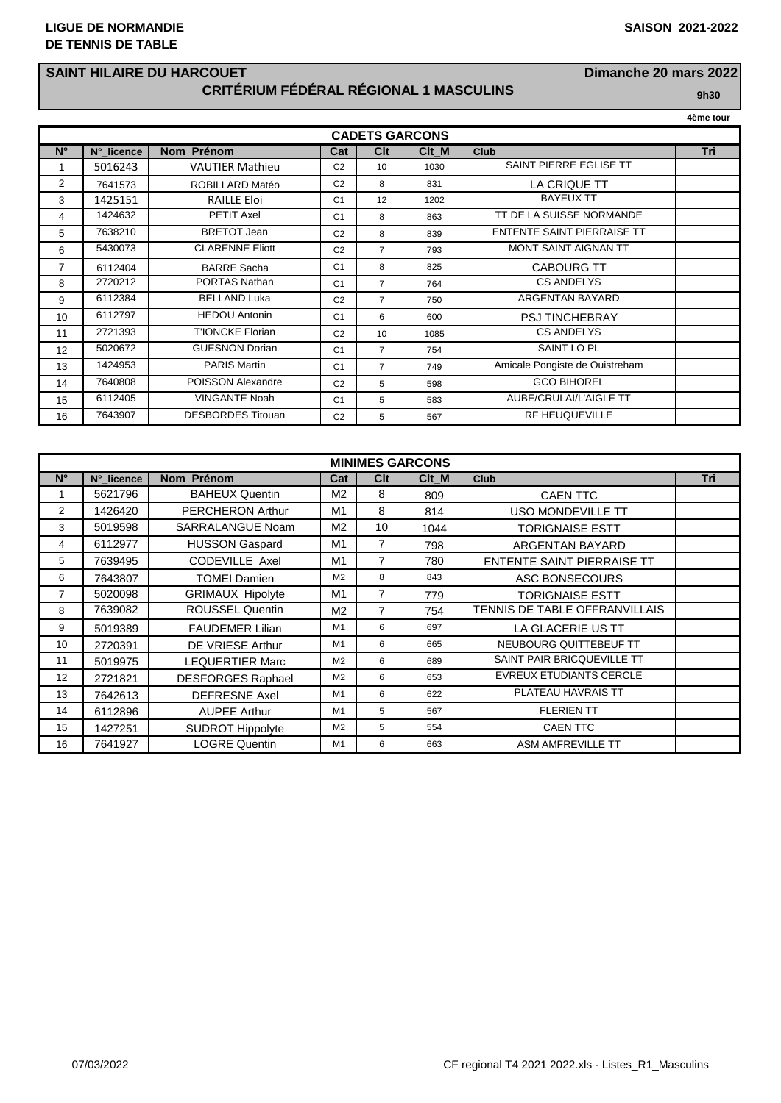## **SAINT HILAIRE DU HARCOUET Dimanche 20 mars 2022 CRITÉRIUM FÉDÉRAL RÉGIONAL 1 MASCULINS 9h30**

**4ème tour**  $C$ ADETS GARCONS **N° N°\_licence Nom Prénom Cat Clt Clt\_M Club Tri** 1 5016243 VAUTIER Mathieu C2 10 1030 SAINT PIERRE EGLISE TT 7641573 ROBILLARD Matéo C2 8 831 LA CRIQUE TT 3 | 1425151 | RAILLE Eloi | C1 | 12 | 1202 | BAYEUX TT 4 1424632 PETIT Axel C1 8 863 TT DE LA SUISSE NORMANDE 5 7638210 BRETOT Jean C2 8 839 ENTENTE SAINT PIERRAISE TT 6 5430073 CLARENNE Eliott C2 7 793 MONT SAINT AIGNAN TT

|                 | 6112404 | <b>BARRE Sacha</b>       | C <sub>1</sub> | 8  | 825  | <b>CABOURG TT</b>              |  |
|-----------------|---------|--------------------------|----------------|----|------|--------------------------------|--|
| 8               | 2720212 | PORTAS Nathan            | C <sub>1</sub> |    | 764  | <b>CS ANDELYS</b>              |  |
| 9               | 6112384 | <b>BELLAND Luka</b>      | C <sub>2</sub> |    | 750  | ARGENTAN BAYARD                |  |
| 10              | 6112797 | <b>HEDOU Antonin</b>     | C <sub>1</sub> | 6  | 600  | <b>PSJ TINCHEBRAY</b>          |  |
| 11              | 2721393 | <b>T'IONCKE Florian</b>  | C <sub>2</sub> | 10 | 1085 | <b>CS ANDELYS</b>              |  |
| 12 <sup>2</sup> | 5020672 | <b>GUESNON Dorian</b>    | C <sub>1</sub> |    | 754  | SAINT LO PL                    |  |
| 13              | 1424953 | <b>PARIS Martin</b>      | C <sub>1</sub> | 7  | 749  | Amicale Pongiste de Ouistreham |  |
| 14              | 7640808 | POISSON Alexandre        | C <sub>2</sub> | 5  | 598  | <b>GCO BIHOREL</b>             |  |
| 15              | 6112405 | VINGANTE Noah            | C <sub>1</sub> | 5  | 583  | AUBE/CRULAI/L'AIGLE TT         |  |
| 16              | 7643907 | <b>DESBORDES Titouan</b> | C <sub>2</sub> | 5  | 567  | <b>RF HEUQUEVILLE</b>          |  |
|                 |         |                          |                |    |      |                                |  |

| <b>MINIMES GARCONS</b> |            |                          |                |                |       |                                   |     |  |
|------------------------|------------|--------------------------|----------------|----------------|-------|-----------------------------------|-----|--|
| $N^{\circ}$            | N°_licence | Nom Prénom               | Cat            | <b>Clt</b>     | Clt M | <b>Club</b>                       | Tri |  |
|                        | 5621796    | <b>BAHEUX Quentin</b>    | M <sub>2</sub> | 8              | 809   | <b>CAEN TTC</b>                   |     |  |
| 2                      | 1426420    | PERCHERON Arthur         | M1             | 8              | 814   | <b>USO MONDEVILLE TT</b>          |     |  |
| 3                      | 5019598    | <b>SARRALANGUE Noam</b>  | M <sub>2</sub> | 10             | 1044  | <b>TORIGNAISE ESTT</b>            |     |  |
| 4                      | 6112977    | <b>HUSSON Gaspard</b>    | M <sub>1</sub> | $\overline{7}$ | 798   | ARGENTAN BAYARD                   |     |  |
| 5                      | 7639495    | <b>CODEVILLE Axel</b>    | M1             | 7              | 780   | <b>ENTENTE SAINT PIERRAISE TT</b> |     |  |
| 6                      | 7643807    | <b>TOMEI Damien</b>      | M <sub>2</sub> | 8              | 843   | ASC BONSECOURS                    |     |  |
| 7                      | 5020098    | <b>GRIMAUX Hipolyte</b>  | M1             | $\overline{7}$ | 779   | <b>TORIGNAISE ESTT</b>            |     |  |
| 8                      | 7639082    | <b>ROUSSEL Quentin</b>   | M <sub>2</sub> | $\overline{7}$ | 754   | TENNIS DE TABLE OFFRANVILLAIS     |     |  |
| 9                      | 5019389    | <b>FAUDEMER Lilian</b>   | M1             | 6              | 697   | LA GLACERIE US TT                 |     |  |
| 10                     | 2720391    | DE VRIESE Arthur         | M1             | 6              | 665   | NEUBOURG QUITTEBEUF TT            |     |  |
| 11                     | 5019975    | <b>LEQUERTIER Marc</b>   | M <sub>2</sub> | 6              | 689   | SAINT PAIR BRICQUEVILLE TT        |     |  |
| 12                     | 2721821    | <b>DESFORGES Raphael</b> | M <sub>2</sub> | 6              | 653   | <b>EVREUX ETUDIANTS CERCLE</b>    |     |  |
| 13                     | 7642613    | <b>DEFRESNE Axel</b>     | M1             | 6              | 622   | PLATEAU HAVRAIS TT                |     |  |
| 14                     | 6112896    | <b>AUPEE Arthur</b>      | M1             | 5              | 567   | <b>FLERIEN TT</b>                 |     |  |
| 15                     | 1427251    | <b>SUDROT Hippolyte</b>  | M <sub>2</sub> | 5              | 554   | <b>CAEN TTC</b>                   |     |  |
| 16                     | 7641927    | <b>LOGRE Quentin</b>     | M1             | 6              | 663   | <b>ASM AMFREVILLE TT</b>          |     |  |